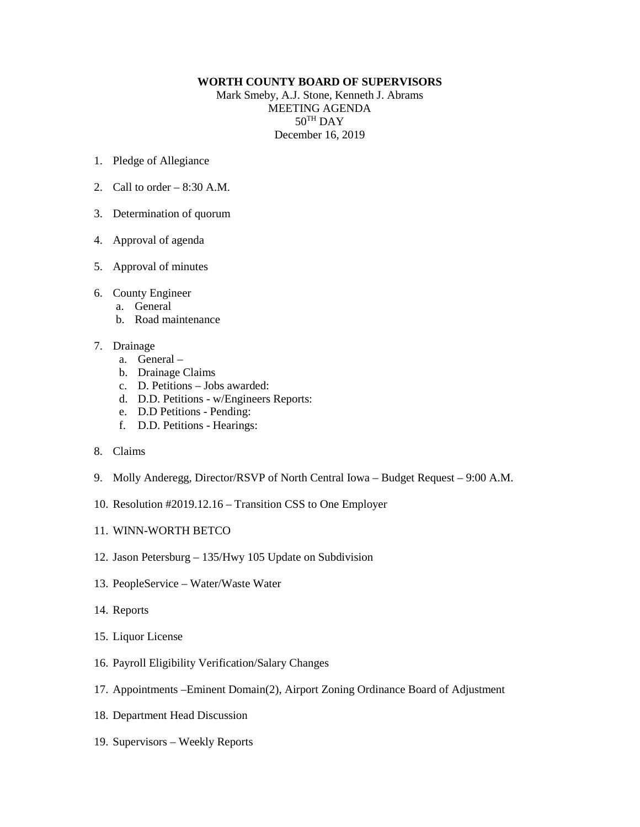## **WORTH COUNTY BOARD OF SUPERVISORS**

Mark Smeby, A.J. Stone, Kenneth J. Abrams MEETING AGENDA 50TH DAY December 16, 2019

- 1. Pledge of Allegiance
- 2. Call to order 8:30 A.M.
- 3. Determination of quorum
- 4. Approval of agenda
- 5. Approval of minutes
- 6. County Engineer
	- a. General
	- b. Road maintenance
- 7. Drainage
	- a. General –
	- b. Drainage Claims
	- c. D. Petitions Jobs awarded:
	- d. D.D. Petitions w/Engineers Reports:
	- e. D.D Petitions Pending:
	- f. D.D. Petitions Hearings:
- 8. Claims
- 9. Molly Anderegg, Director/RSVP of North Central Iowa Budget Request 9:00 A.M.
- 10. Resolution #2019.12.16 Transition CSS to One Employer
- 11. WINN-WORTH BETCO
- 12. Jason Petersburg 135/Hwy 105 Update on Subdivision
- 13. PeopleService Water/Waste Water
- 14. Reports
- 15. Liquor License
- 16. Payroll Eligibility Verification/Salary Changes
- 17. Appointments –Eminent Domain(2), Airport Zoning Ordinance Board of Adjustment
- 18. Department Head Discussion
- 19. Supervisors Weekly Reports